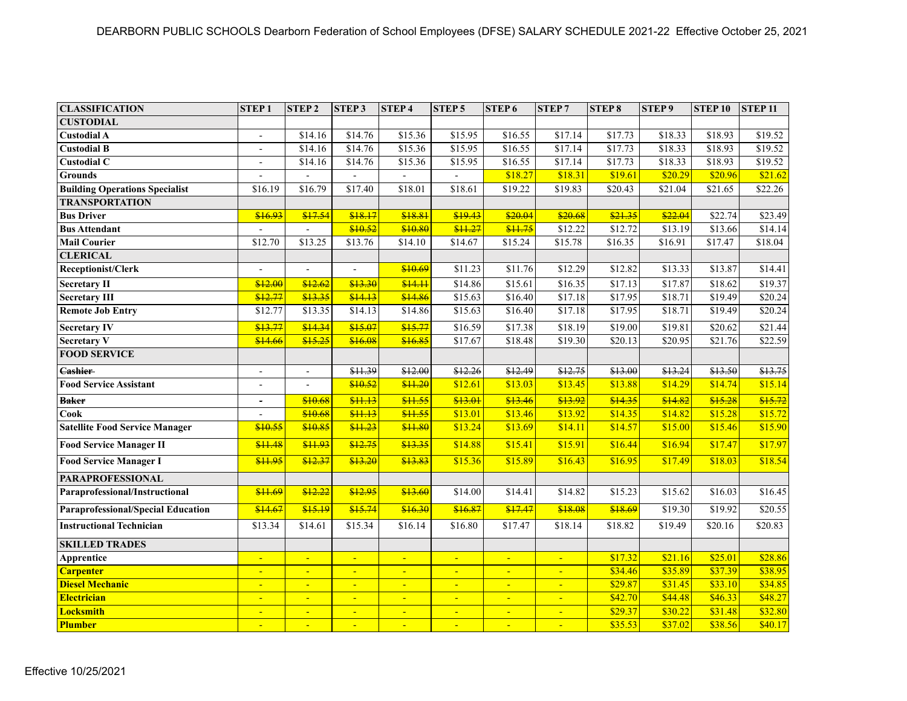| <b>CLASSIFICATION</b>                     | <b>STEP1</b>             | <b>STEP2</b>             | <b>STEP3</b>             | <b>STEP4</b>   | <b>STEP5</b>   | STEP <sub>6</sub> | <b>STEP7</b>   | <b>STEP8</b> | STEP <sub>9</sub> | <b>STEP 10</b>      | <b>STEP 11</b> |
|-------------------------------------------|--------------------------|--------------------------|--------------------------|----------------|----------------|-------------------|----------------|--------------|-------------------|---------------------|----------------|
| <b>CUSTODIAL</b>                          |                          |                          |                          |                |                |                   |                |              |                   |                     |                |
| <b>Custodial A</b>                        | $\mathbf{r}$             | \$14.16                  | \$14.76                  | \$15.36        | \$15.95        | \$16.55           | \$17.14        | \$17.73      | \$18.33           | \$18.93             | \$19.52        |
| <b>Custodial B</b>                        | $\overline{\phantom{a}}$ | \$14.16                  | \$14.76                  | \$15.36        | \$15.95        | \$16.55           | \$17.14        | \$17.73      | \$18.33           | \$18.93             | \$19.52        |
| <b>Custodial C</b>                        | $\overline{a}$           | \$14.16                  | \$14.76                  | \$15.36        | \$15.95        | \$16.55           | \$17.14        | \$17.73      | \$18.33           | \$18.93             | \$19.52        |
| <b>Grounds</b>                            | $\blacksquare$           |                          |                          |                |                | \$18.27           | \$18.31        | \$19.61      | \$20.29           | \$20.96             | \$21.62        |
| <b>Building Operations Specialist</b>     | \$16.19                  | \$16.79                  | \$17.40                  | \$18.01        | \$18.61        | \$19.22           | \$19.83        | \$20.43      | \$21.04           | \$21.65             | \$22.26        |
| <b>TRANSPORTATION</b>                     |                          |                          |                          |                |                |                   |                |              |                   |                     |                |
| <b>Bus Driver</b>                         | \$16.93                  | \$17.54                  | \$18.17                  | \$18.81        | \$19.43        | \$20.04           | \$20.68        | \$21.35      | \$22.04           | $\overline{$22.74}$ | \$23.49        |
| <b>Bus Attendant</b>                      |                          |                          | \$10.52                  | \$10.80        | \$11.27        | \$11.75           | \$12.22        | \$12.72      | \$13.19           | \$13.66             | \$14.14        |
| <b>Mail Courier</b>                       | \$12.70                  | \$13.25                  | \$13.76                  | \$14.10        | \$14.67        | \$15.24           | \$15.78        | \$16.35      | \$16.91           | \$17.47             | \$18.04        |
| <b>CLERICAL</b>                           |                          |                          |                          |                |                |                   |                |              |                   |                     |                |
| Receptionist/Clerk                        | $\overline{a}$           | $\blacksquare$           | $\blacksquare$           | \$10.69        | \$11.23        | \$11.76           | \$12.29        | \$12.82      | \$13.33           | \$13.87             | \$14.41        |
| <b>Secretary II</b>                       | \$12.00                  | \$12.62                  | \$13.30                  | \$14.11        | \$14.86        | \$15.61           | \$16.35        | \$17.13      | \$17.87           | \$18.62             | \$19.37        |
| <b>Secretary III</b>                      | \$12.77                  | \$13.35                  | \$14.13                  | \$14.86        | \$15.63        | \$16.40           | \$17.18        | \$17.95      | \$18.71           | \$19.49             | \$20.24        |
| <b>Remote Job Entry</b>                   | \$12.77                  | \$13.35                  | \$14.13                  | \$14.86        | \$15.63        | \$16.40           | \$17.18        | \$17.95      | \$18.71           | \$19.49             | \$20.24        |
| <b>Secretary IV</b>                       | \$13.77                  | \$14.34                  | \$15.07                  | \$15.77        | \$16.59        | \$17.38           | \$18.19        | \$19.00      | \$19.81           | \$20.62             | \$21.44        |
| <b>Secretary V</b>                        | \$14.66                  | \$15.25                  | \$16.08                  | \$16.85        | \$17.67        | \$18.48           | \$19.30        | \$20.13      | \$20.95           | \$21.76             | \$22.59        |
| <b>FOOD SERVICE</b>                       |                          |                          |                          |                |                |                   |                |              |                   |                     |                |
| <b>Cashier</b>                            | $\overline{\phantom{a}}$ | $\overline{\phantom{a}}$ | \$11.39                  | \$12.00        | \$12.26        | \$12.49           | \$12.75        | \$13.00      | \$13.24           | \$13.50             | \$13.75        |
| <b>Food Service Assistant</b>             | $\overline{a}$           |                          | \$10.52                  | \$11.20        | \$12.61        | \$13.03           | \$13.45        | \$13.88      | \$14.29           | \$14.74             | \$15.14        |
| <b>Baker</b>                              | $\blacksquare$           | \$10.68                  | \$11.13                  | \$11.55        | \$13.01        | \$13.46           | \$13.92        | \$14.35      | \$14.82           | \$15.28             | \$15.72        |
| <b>Cook</b>                               | $\blacksquare$           | \$10.68                  | \$11.13                  | \$11.55        | \$13.01        | \$13.46           | \$13.92        | \$14.35      | \$14.82           | \$15.28             | \$15.72        |
| <b>Satellite Food Service Manager</b>     | \$10.55                  | \$10.85                  | \$11.23                  | \$11.80        | \$13.24        | \$13.69           | \$14.11        | \$14.57      | \$15.00           | \$15.46             | \$15.90        |
| <b>Food Service Manager II</b>            | \$11.48                  | \$11.93                  | \$12.75                  | \$13.35        | \$14.88        | \$15.41           | \$15.91        | \$16.44      | \$16.94           | \$17.47             | \$17.97        |
| <b>Food Service Manager I</b>             | \$11.95                  | \$12.37                  | \$13.20                  | \$13.83        | \$15.36        | \$15.89           | \$16.43        | \$16.95      | \$17.49           | \$18.03             | \$18.54        |
| <b>PARAPROFESSIONAL</b>                   |                          |                          |                          |                |                |                   |                |              |                   |                     |                |
| Paraprofessional/Instructional            | \$11.69                  | \$12.22                  | \$12.95                  | \$13.60        | \$14.00        | \$14.41           | \$14.82        | \$15.23      | \$15.62           | \$16.03             | \$16.45        |
| <b>Paraprofessional/Special Education</b> | \$14.67                  | \$15.19                  | \$15.74                  | \$16.30        | \$16.87        | \$17.47           | \$18.08        | \$18.69      | \$19.30           | \$19.92             | \$20.55        |
| <b>Instructional Technician</b>           | \$13.34                  | \$14.61                  | \$15.34                  | \$16.14        | \$16.80        | \$17.47           | \$18.14        | \$18.82      | \$19.49           | \$20.16             | \$20.83        |
| <b>SKILLED TRADES</b>                     |                          |                          |                          |                |                |                   |                |              |                   |                     |                |
| Apprentice                                | $\blacksquare$           | $\blacksquare$           | $\blacksquare$           | Ξ              | $\blacksquare$ | $\blacksquare$    | $\blacksquare$ | \$17.32      | \$21.16           | \$25.01             | \$28.86        |
| <b>Carpenter</b>                          | $\blacksquare$           | $\blacksquare$           | $\blacksquare$           | $\blacksquare$ | $\blacksquare$ | $\blacksquare$    | $\blacksquare$ | \$34.46      | \$35.89           | \$37.39             | \$38.95        |
| <b>Diesel Mechanic</b>                    | $\blacksquare$           | $\blacksquare$           | $\blacksquare$           | Ξ              | $\blacksquare$ | $\blacksquare$    | ÷              | \$29.87      | \$31.45           | \$33.10             | \$34.85        |
| Electrician                               | $\equiv$                 | $\blacksquare$           | $\blacksquare$           | $\blacksquare$ | $\blacksquare$ | $\blacksquare$    | $\blacksquare$ | \$42.70      | \$44.48           | \$46.33             | \$48.27        |
| Locksmith                                 | $\blacksquare$           | $\blacksquare$           | $\blacksquare$           | $\blacksquare$ | $\blacksquare$ | $\blacksquare$    | $\blacksquare$ | \$29.37      | \$30.22           | \$31.48             | \$32.80        |
| <b>Plumber</b>                            |                          | Ξ                        | $\overline{\phantom{0}}$ |                |                |                   |                | \$35.53      | \$37.02           | \$38.56             | \$40.17        |